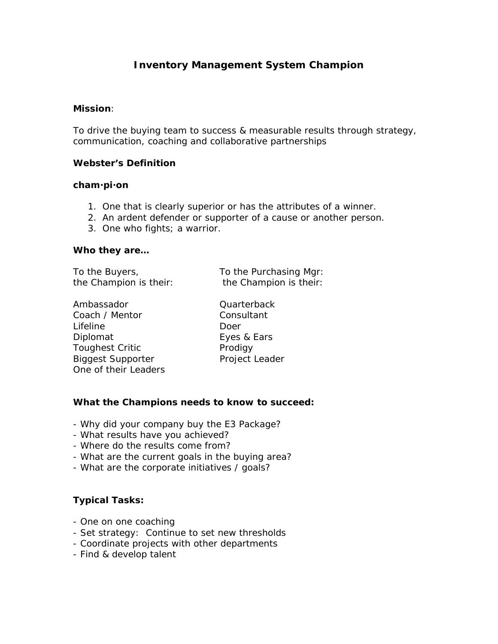# **Inventory Management System Champion**

#### **Mission**:

To drive the buying team to success & measurable results through strategy, communication, coaching and collaborative partnerships

#### **Webster's Definition**

#### **cham·pi·on**

- 1. One that is clearly superior or has the attributes of a winner.
- 2. An ardent defender or supporter of a cause or another person.
- 3. One who fights; a warrior.

#### **Who they are…**

To the Buyers, To the Purchasing Mgr:

the Champion is their: the Champion is their:

Ambassador **Quarterback** Coach / Mentor Consultant Lifeline Doer Diplomat Eyes & Ears Toughest Critic **Prodigy** Biggest Supporter Project Leader One of their Leaders

### **What the Champions needs to know to succeed:**

- Why did your company buy the E3 Package?
- What results have you achieved?
- Where do the results come from?
- What are the current goals in the buying area?
- What are the corporate initiatives / goals?

### **Typical Tasks:**

- One on one coaching
- Set strategy: Continue to set new thresholds
- Coordinate projects with other departments
- Find & develop talent